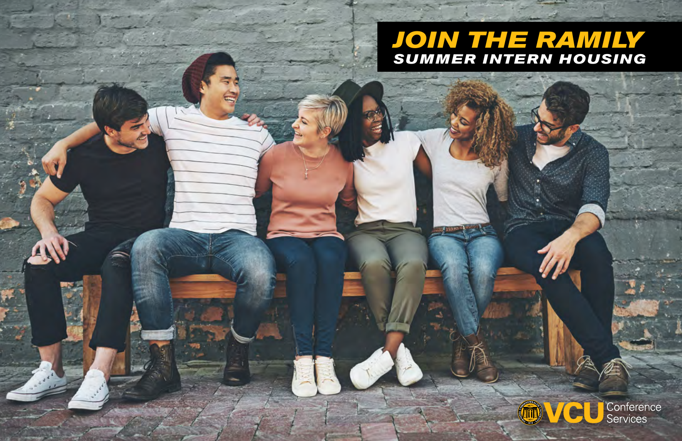## *JOIN THE RAMILY SUMMER INTERN HOUSING*

4



Conference<br>Services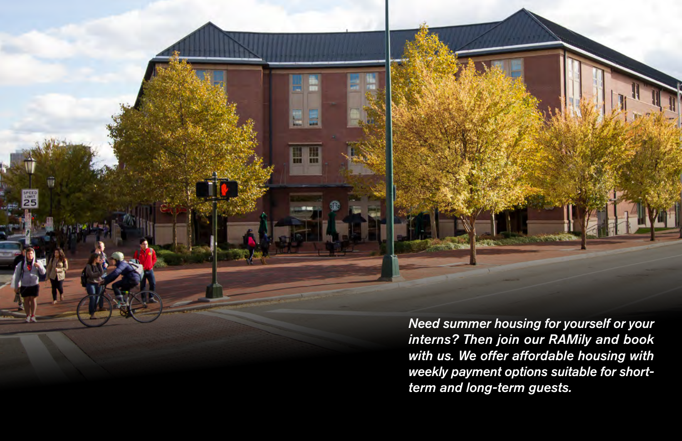

π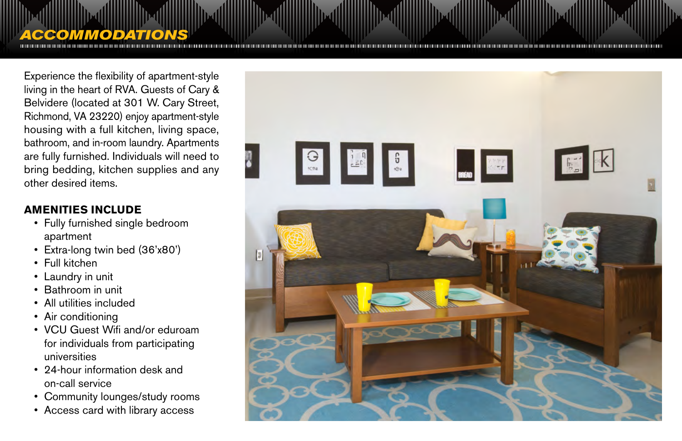# *ACCOMMODATIONS*

Experience the flexibility of apartment-style living in the heart of RVA. Guests of Cary & Belvidere (located at 301 W. Cary Street, Richmond, VA 23220) enjoy apartment-style housing with a full kitchen, living space, bathroom, and in-room laundry. Apartments are fully furnished. Individuals will need to bring bedding, kitchen supplies and any other desired items.

#### **AMENITIES INCLUDE**

- Fully furnished single bedroom apartment
- Extra-long twin bed (36'x80')
- Full kitchen
- Laundry in unit
- Bathroom in unit
- All utilities included
- Air conditioning
- VCU Guest Wifi and/or eduroam for individuals from participating universities
- 24-hour information desk and on-call service
- Community lounges/study rooms
- Access card with library access

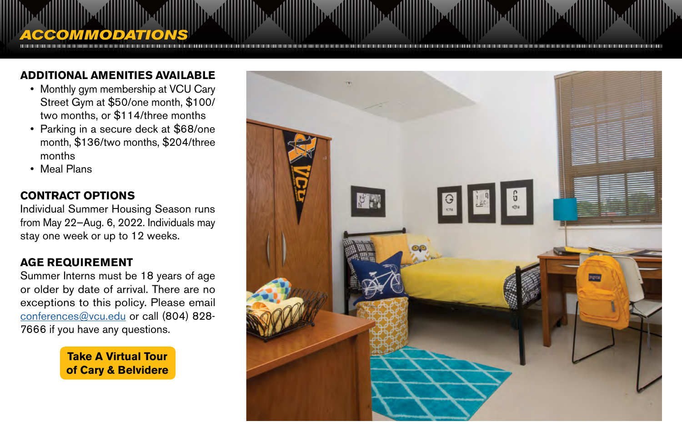### **ADDITIONAL AMENITIES AVAILABLE**

- Monthly gym membership at VCU Cary Street Gym at \$50/one month, \$100/ two months, or \$114/three months
- Parking in a secure deck at \$68/one month, \$136/two months, \$204/three months
- Meal Plans

#### **CONTRACT OPTIONS**

*ACCOMMODATIONS*

Individual Summer Housing Season runs from May 22—Aug. 6, 2022. Individuals may stay one week or up to 12 weeks.

#### **AGE REQUIREMENT**

Summer Interns must be 18 years of age or older by date of arrival. There are no exceptions to this policy. Please email [conferences@vcu.edu](mailto:conferences%40vcu.edu?subject=Questions%20about%20Age%20Requirements) or call (804) 828- 7666 if you have any questions.

> **[Take A Virtual Tour](https://youvis.it/47w9V8)  of Cary & Belvidere**

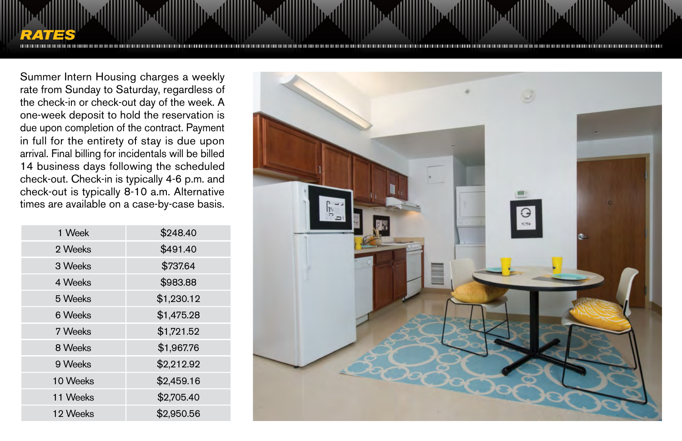

Summer Intern Housing charges a weekly rate from Sunday to Saturday, regardless of the check-in or check-out day of the week. A one-week deposit to hold the reservation is due upon completion of the contract. Payment in full for the entirety of stay is due upon arrival. Final billing for incidentals will be billed 14 business days following the scheduled check-out. Check-in is typically 4-6 p.m. and check-out is typically 8-10 a.m. Alternative times are available on a case-by-case basis.

| 1 Week   | \$248.40   |
|----------|------------|
| 2 Weeks  | \$491.40   |
| 3 Weeks  | \$737.64   |
| 4 Weeks  | \$983.88   |
| 5 Weeks  | \$1,230.12 |
| 6 Weeks  | \$1,475.28 |
| 7 Weeks  | \$1,721.52 |
| 8 Weeks  | \$1,967.76 |
| 9 Weeks  | \$2,212.92 |
| 10 Weeks | \$2,459.16 |
| 11 Weeks | \$2,705.40 |
| 12 Weeks | \$2,950.56 |
|          |            |

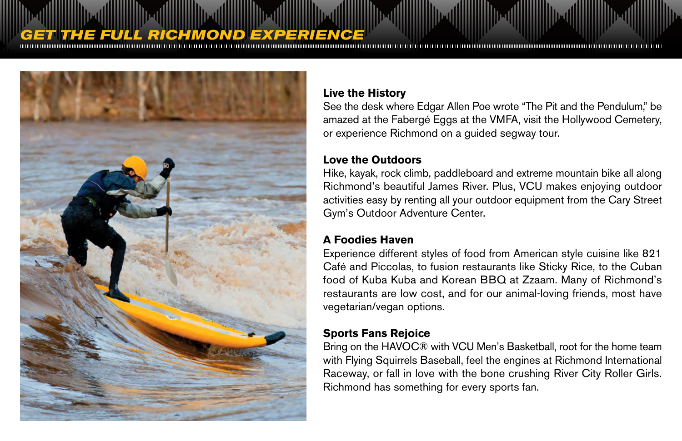## *GHMOND EXPERIENCE*



#### **Live the History**

See the desk where Edgar Allen Poe wrote "The Pit and the Pendulum," be amazed at the Fabergé Eggs at the VMFA, visit the Hollywood Cemetery, or experience Richmond on a guided segway tour.

#### **Love the Outdoors**

Hike, kayak, rock climb, paddleboard and extreme mountain bike all along Richmond's beautiful James River. Plus, VCU makes enjoying outdoor activities easy by renting all your outdoor equipment from the Cary Street Gym's Outdoor Adventure Center.

#### **A Foodies Haven**

Experience different styles of food from American style cuisine like 821 Café and Piccolas, to fusion restaurants like Sticky Rice, to the Cuban food of Kuba Kuba and Korean BBQ at Zzaam. Many of Richmond's restaurants are low cost, and for our animal-loving friends, most have vegetarian/vegan options.

#### **Sports Fans Rejoice**

Bring on the HAVOC® with VCU Men's Basketball, root for the home team with Flying Squirrels Baseball, feel the engines at Richmond International Raceway, or fall in love with the bone crushing River City Roller Girls. Richmond has something for every sports fan.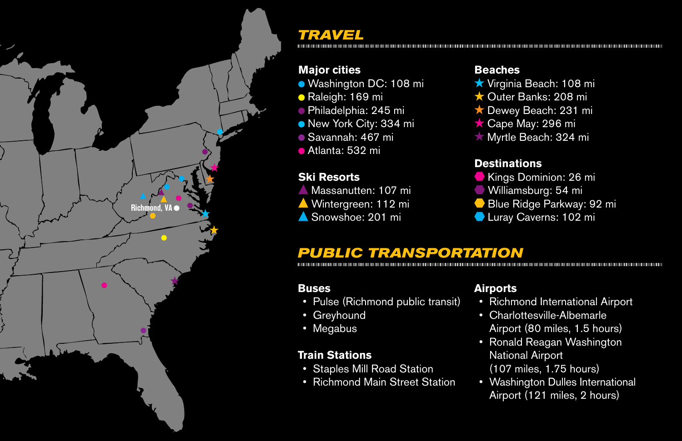

### *TRAVEL*

#### **Major cities**

- Washington DC: 108 mi
- Raleigh: 169 mi
- Philadelphia: 245 mi
- New York City: 334 mi
- Savannah: 467 mi
- Atlanta: 532 mi

#### **Ski Resorts**

- **Massanutten: 107 mi**
- Wintergreen: 112 mi
- Snowshoe: 201 mi

#### **Beaches**

- **★ Virginia Beach: 108 mi**
- ★ Outer Banks: 208 mi
- ★ Dewey Beach: 231 mi
- ★ Cape May: 296 mi
- ★ Myrtle Beach: 324 mi

#### **Destinations**

- Kings Dominion: 26 mi
- Williamsburg: 54 mi
- Blue Ridge Parkway: 92 mi
- **Luray Caverns: 102 mi**

## *PUBLIC TRANSPORTATION*

#### **Buses**

- Pulse (Richmond public transit)
- Greyhound
- Megabus

#### **Train Stations**

- Staples Mill Road Station
- Richmond Main Street Station

#### **Airports**

- Richmond International Airport
- Charlottesville-Albemarle Airport (80 miles, 1.5 hours)
- Ronald Reagan Washington National Airport (107 miles, 1.75 hours)
- Washington Dulles International Airport (121 miles, 2 hours)